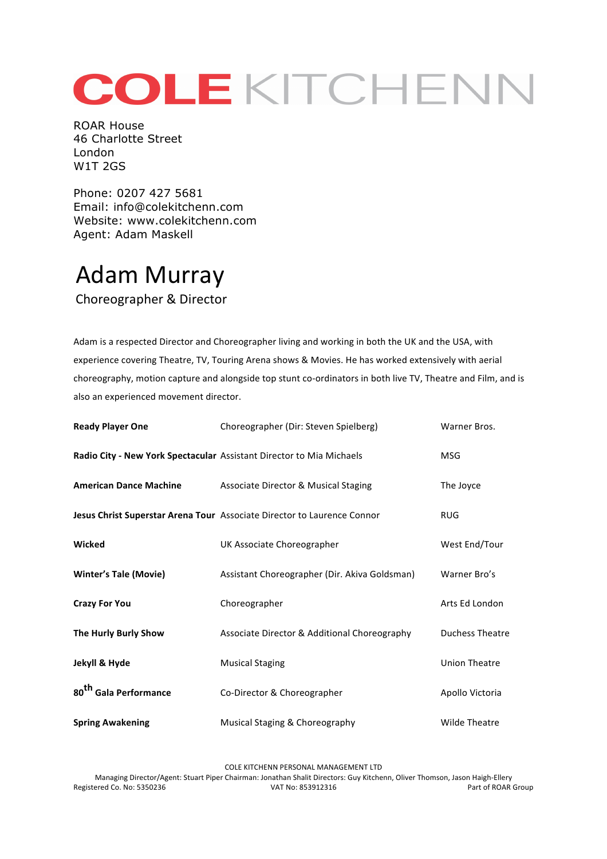## COLEKITCHENN

ROAR House 46 Charlotte Street London W1T 2GS

Phone: 0207 427 5681 Email: info@colekitchenn.com Website: www.colekitchenn.com Agent: Adam Maskell

## Adam Murray

Choreographer & Director

Adam is a respected Director and Choreographer living and working in both the UK and the USA, with experience covering Theatre, TV, Touring Arena shows & Movies. He has worked extensively with aerial choreography, motion capture and alongside top stunt co-ordinators in both live TV, Theatre and Film, and is also an experienced movement director.

| <b>Ready Player One</b>           | Choreographer (Dir: Steven Spielberg)                                   | Warner Bros.           |
|-----------------------------------|-------------------------------------------------------------------------|------------------------|
|                                   | Radio City - New York Spectacular Assistant Director to Mia Michaels    | MSG                    |
| <b>American Dance Machine</b>     | Associate Director & Musical Staging                                    | The Joyce              |
|                                   | Jesus Christ Superstar Arena Tour Associate Director to Laurence Connor | <b>RUG</b>             |
| Wicked                            | UK Associate Choreographer                                              | West End/Tour          |
| <b>Winter's Tale (Movie)</b>      | Assistant Choreographer (Dir. Akiva Goldsman)                           | Warner Bro's           |
| <b>Crazy For You</b>              | Choreographer                                                           | Arts Ed London         |
| The Hurly Burly Show              | Associate Director & Additional Choreography                            | <b>Duchess Theatre</b> |
| Jekyll & Hyde                     | <b>Musical Staging</b>                                                  | <b>Union Theatre</b>   |
| 80 <sup>th</sup> Gala Performance | Co-Director & Choreographer                                             | Apollo Victoria        |
| <b>Spring Awakening</b>           | Musical Staging & Choreography                                          | <b>Wilde Theatre</b>   |

COLE KITCHENN PERSONAL MANAGEMENT LTD